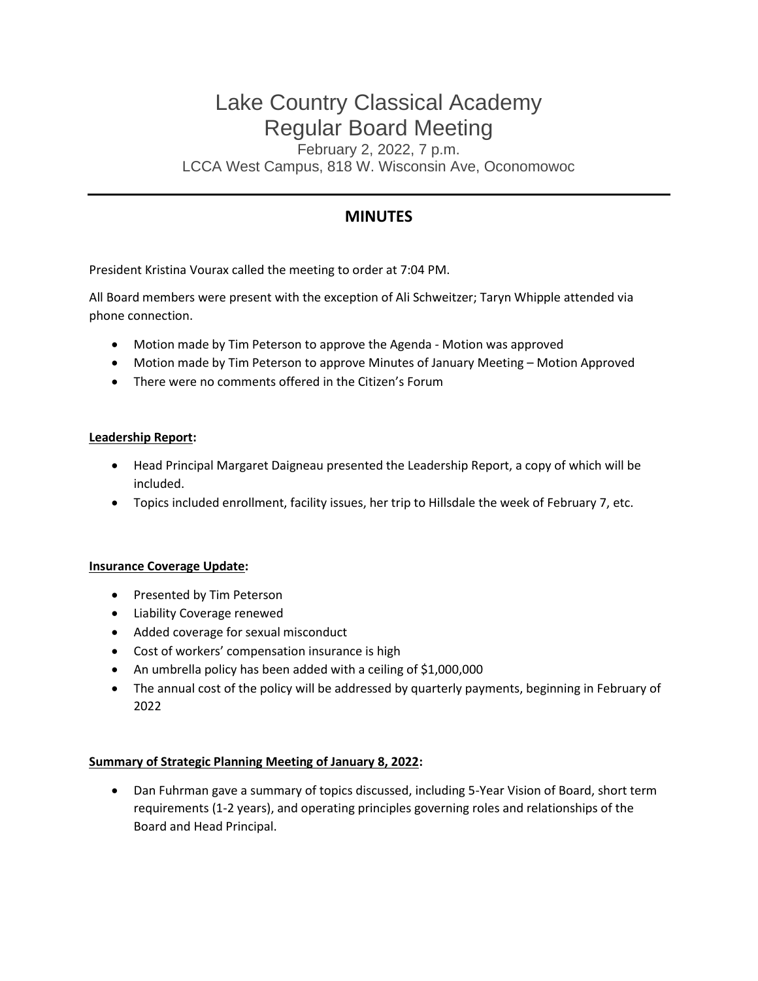# Lake Country Classical Academy Regular Board Meeting

February 2, 2022, 7 p.m. LCCA West Campus, 818 W. Wisconsin Ave, Oconomowoc

# **MINUTES**

President Kristina Vourax called the meeting to order at 7:04 PM.

All Board members were present with the exception of Ali Schweitzer; Taryn Whipple attended via phone connection.

- Motion made by Tim Peterson to approve the Agenda Motion was approved
- Motion made by Tim Peterson to approve Minutes of January Meeting Motion Approved
- There were no comments offered in the Citizen's Forum

# **Leadership Report:**

- Head Principal Margaret Daigneau presented the Leadership Report, a copy of which will be included.
- Topics included enrollment, facility issues, her trip to Hillsdale the week of February 7, etc.

#### **Insurance Coverage Update:**

- Presented by Tim Peterson
- Liability Coverage renewed
- Added coverage for sexual misconduct
- Cost of workers' compensation insurance is high
- An umbrella policy has been added with a ceiling of \$1,000,000
- The annual cost of the policy will be addressed by quarterly payments, beginning in February of 2022

#### **Summary of Strategic Planning Meeting of January 8, 2022:**

• Dan Fuhrman gave a summary of topics discussed, including 5-Year Vision of Board, short term requirements (1-2 years), and operating principles governing roles and relationships of the Board and Head Principal.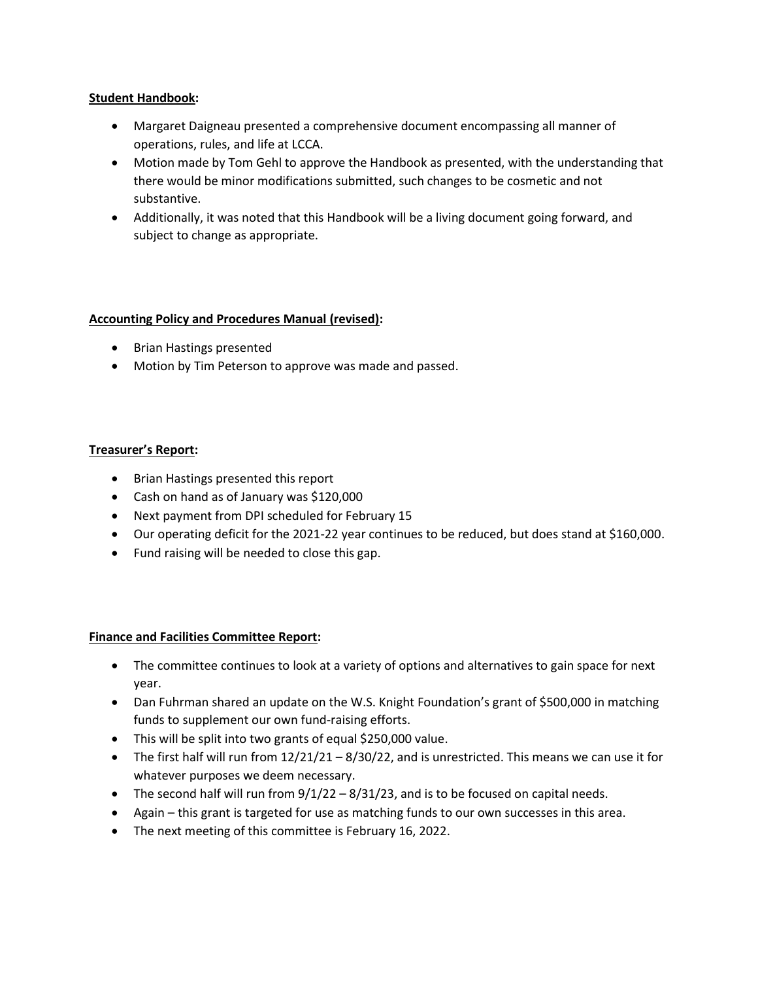# **Student Handbook:**

- Margaret Daigneau presented a comprehensive document encompassing all manner of operations, rules, and life at LCCA.
- Motion made by Tom Gehl to approve the Handbook as presented, with the understanding that there would be minor modifications submitted, such changes to be cosmetic and not substantive.
- Additionally, it was noted that this Handbook will be a living document going forward, and subject to change as appropriate.

# **Accounting Policy and Procedures Manual (revised):**

- Brian Hastings presented
- Motion by Tim Peterson to approve was made and passed.

# **Treasurer's Report:**

- Brian Hastings presented this report
- Cash on hand as of January was \$120,000
- Next payment from DPI scheduled for February 15
- Our operating deficit for the 2021-22 year continues to be reduced, but does stand at \$160,000.
- Fund raising will be needed to close this gap.

#### **Finance and Facilities Committee Report:**

- The committee continues to look at a variety of options and alternatives to gain space for next year.
- Dan Fuhrman shared an update on the W.S. Knight Foundation's grant of \$500,000 in matching funds to supplement our own fund-raising efforts.
- This will be split into two grants of equal \$250,000 value.
- The first half will run from  $12/21/21 8/30/22$ , and is unrestricted. This means we can use it for whatever purposes we deem necessary.
- The second half will run from 9/1/22 8/31/23, and is to be focused on capital needs.
- Again this grant is targeted for use as matching funds to our own successes in this area.
- The next meeting of this committee is February 16, 2022.